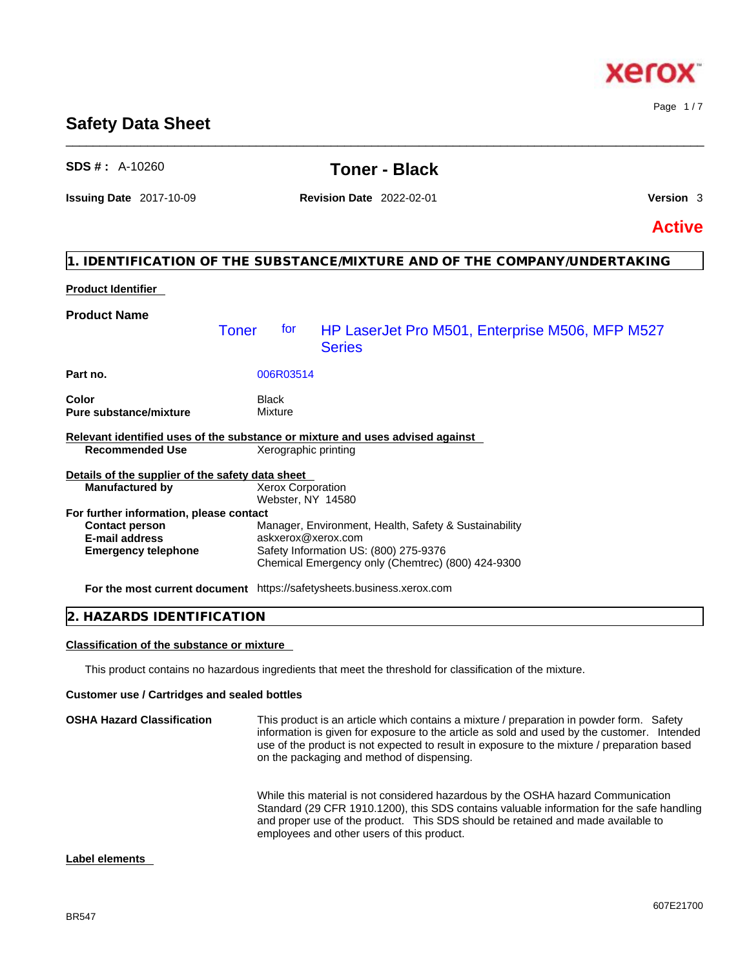### BR547

**Label elements** 

# **Safety Data Sheet**

# **Product Identifier Product Name Part no.** 006R03514 **Color** Black **Pure substance/mixture** Mixture **Relevant identified uses of the substance or mixture and uses advised against Recommended Use Details of the supplier of the safety data sheet For further information, please contact Emergency telephone** Safety Information US: (800) 275-9376 Chemical Emergency only (Chemtrec) (800) 424-9300 Toner for HP LaserJet Pro M501, Enterprise M506, MFP M527 **Series Manufactured by** Xerox Corporation Webster, NY 14580 **Contact person** Manager, Environment, Health, Safety & Sustainability **E-mail address** askxerox@xerox.com

**For the most current document** https://safetysheets.business.xerox.com

### **2. HAZARDS IDENTIFICATION**

### **Classification of the substance or mixture**

This product contains no hazardous ingredients that meet the threshold for classification of the mixture.

### **Customer use / Cartridges and sealed bottles**

| <b>OSHA Hazard Classification</b> | This product is an article which contains a mixture / preparation in powder form. Safety<br>information is given for exposure to the article as sold and used by the customer. Intended<br>use of the product is not expected to result in exposure to the mixture / preparation based<br>on the packaging and method of dispensing. |
|-----------------------------------|--------------------------------------------------------------------------------------------------------------------------------------------------------------------------------------------------------------------------------------------------------------------------------------------------------------------------------------|
|                                   | While this material is not considered hazardous by the OSHA hazard Communication<br>Standard (29 CFR 1910.1200), this SDS contains valuable information for the safe handling<br>and proper use of the product. This SDS should be retained and made available to<br>employees and other users of this product.                      |

# **SDS # :** A-10260 **Toner - Black**

\_\_\_\_\_\_\_\_\_\_\_\_\_\_\_\_\_\_\_\_\_\_\_\_\_\_\_\_\_\_\_\_\_\_\_\_\_\_\_\_\_\_\_\_\_\_\_\_\_\_\_\_\_\_\_\_\_\_\_\_\_\_\_\_\_\_\_\_\_\_\_\_\_\_\_\_\_\_\_\_\_\_\_\_\_\_\_\_\_\_\_\_\_\_

**Issuing Date** 2017-10-09 **Revision Date** 2022-02-01 **Version** 3

**1. IDENTIFICATION OF THE SUBSTANCE/MIXTURE AND OF THE COMPANY/UNDERTAKING** 

**Active**

### 607E21700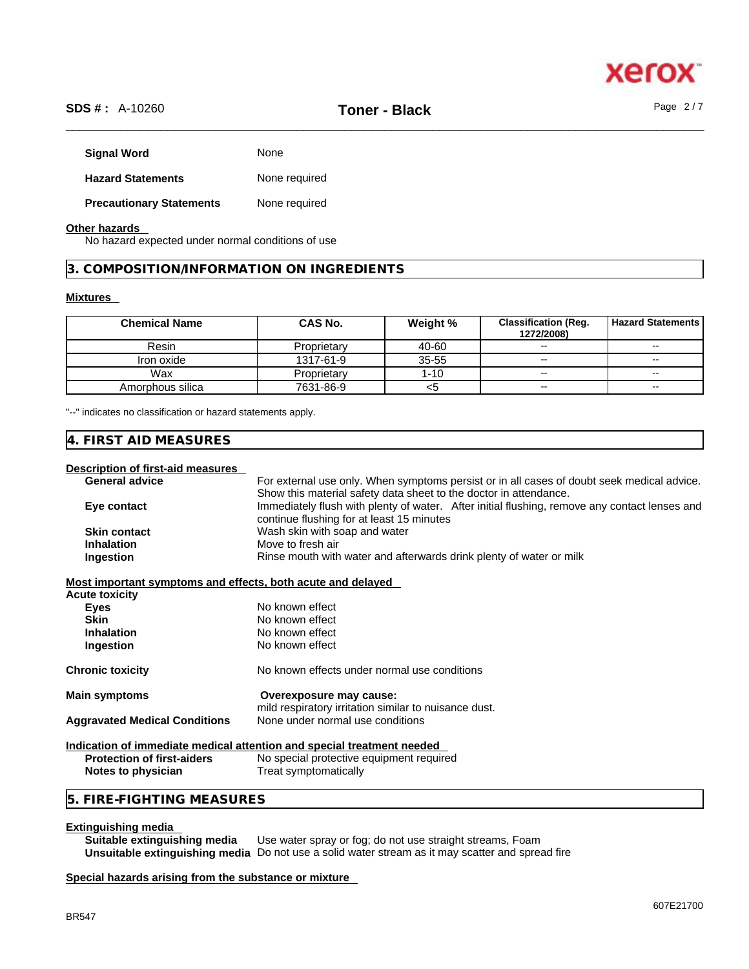

# \_\_\_\_\_\_\_\_\_\_\_\_\_\_\_\_\_\_\_\_\_\_\_\_\_\_\_\_\_\_\_\_\_\_\_\_\_\_\_\_\_\_\_\_\_\_\_\_\_\_\_\_\_\_\_\_\_\_\_\_\_\_\_\_\_\_\_\_\_\_\_\_\_\_\_\_\_\_\_\_\_\_\_\_\_\_\_\_\_\_\_\_\_\_ **SDS # :** A-10260 **Toner - Black** Page 2 / 7

| <b>Signal Word</b>              | None          |
|---------------------------------|---------------|
| <b>Hazard Statements</b>        | None required |
| <b>Precautionary Statements</b> | None required |

### **Other hazards**

No hazard expected under normal conditions of use

**3. COMPOSITION/INFORMATION ON INGREDIENTS** 

### **Mixtures**

| <b>Chemical Name</b> | CAS No.     | Weight %  | <b>Classification (Req.</b><br>1272/2008) | <b>Hazard Statements</b> |
|----------------------|-------------|-----------|-------------------------------------------|--------------------------|
| Resin                | Proprietary | 40-60     | $\sim$                                    | $\sim$                   |
| Iron oxide           | 1317-61-9   | $35 - 55$ | $\overline{\phantom{m}}$                  | $\overline{\phantom{a}}$ |
| Wax                  | Proprietary | $1 - 10$  | $\sim$                                    | $\mathbf{u}$             |
| Amorphous silica     | 7631-86-9   | <5        | $\sim$                                    | $\sim$                   |

"--" indicates no classification or hazard statements apply.

## **4. FIRST AID MEASURES**

### **Description of first-aid measures**

| <b>General advice</b> | For external use only. When symptoms persist or in all cases of doubt seek medical advice.                                                 |
|-----------------------|--------------------------------------------------------------------------------------------------------------------------------------------|
|                       | Show this material safety data sheet to the doctor in attendance.                                                                          |
| Eye contact           | Immediately flush with plenty of water. After initial flushing, remove any contact lenses and<br>continue flushing for at least 15 minutes |
| <b>Skin contact</b>   | Wash skin with soap and water                                                                                                              |
| <b>Inhalation</b>     | Move to fresh air                                                                                                                          |
| <b>Ingestion</b>      | Rinse mouth with water and afterwards drink plenty of water or milk                                                                        |

| MOST IMPORTANT SYMPTOMS AND CHECTS, DOIN ACUTE AND DETAYED |                                                                                  |
|------------------------------------------------------------|----------------------------------------------------------------------------------|
| Acute toxicity                                             |                                                                                  |
| Eyes                                                       | No known effect                                                                  |
| <b>Skin</b>                                                | No known effect                                                                  |
| <b>Inhalation</b>                                          | No known effect                                                                  |
| Ingestion                                                  | No known effect                                                                  |
| Chronic toxicity                                           | No known effects under normal use conditions                                     |
| Main symptoms                                              | Overexposure may cause:<br>mild respiratory irritation similar to nuisance dust. |
| <b>Aggravated Medical Conditions</b>                       | None under normal use conditions                                                 |
|                                                            | Indication of immediate medical attention and special treatment needed           |
| Destastian of first aiders                                 | No appoint protective courspoont required                                        |

**Protection of first-aiders** No special protective equipment required **Notes to physician** Treat symptomatically

## **5. FIRE-FIGHTING MEASURES**

**Extinguishing media**  Use water spray or fog; do not use straight streams, Foam **Unsuitable extinguishing media** Do not use a solid water stream as it may scatterand spread fire

### **Special hazards arising from the substance or mixture**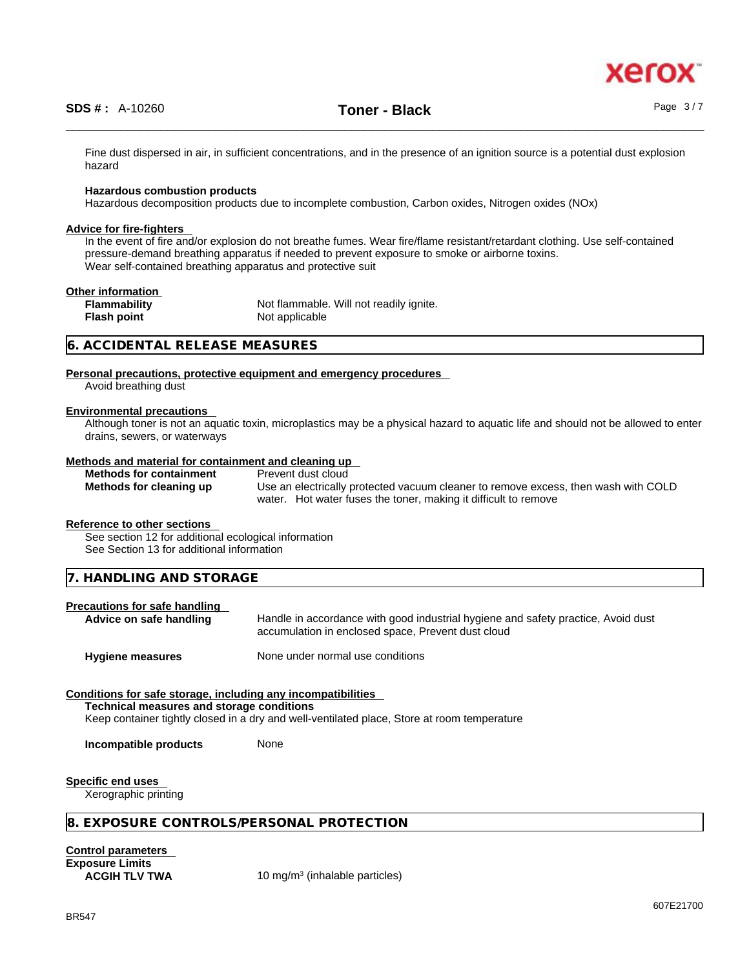Fine dust dispersed in air, in sufficient concentrations, and in the presence of an ignition source is a potential dust explosion hazard

### **Hazardous combustion products**

Hazardous decomposition products due to incomplete combustion, Carbon oxides, Nitrogen oxides (NOx)

### **Advice for fire-fighters**

In the event of fire and/or explosion do not breathe fumes. Wear fire/flame resistant/retardant clothing. Use self-contained pressure-demand breathing apparatus if needed to prevent exposure to smoke or airborne toxins. Wear self-contained breathing apparatus and protective suit

### **Other information**

**Flash point** 

**Flammability** Not flammable. Will not readily ignite.<br> **Flash point Not applicable** 

### **6. ACCIDENTAL RELEASE MEASURES**

### **Personal precautions, protective equipment and emergency procedures**

Avoid breathing dust

### **Environmental precautions**

Although toner is not an aquatic toxin, microplastics may be a physical hazard to aquatic life and should not be allowed to enter drains, sewers, or waterways

### **Methods and material for containment and cleaning up**

**Methods for containment** Prevent dust cloud

**Methods for cleaning up** Use an electrically protected vacuum cleaner to remove excess, then wash with COLD water. Hot water fuses the toner, making it difficult to remove

### **Reference to other sections**

See section 12 for additional ecological information See Section 13 for additional information

**7. HANDLING AND STORAGE** 

### **Precautions for safe handling**

Advice on safe handling **Handle** in accordance with good industrial hygiene and safety practice, Avoid dust accumulation in enclosed space, Prevent dust cloud

**Hygiene measures** None under normal use conditions

### **Conditions for safe storage, including any incompatibilities**

**Technical measures and storage conditions**

Keep container tightly closed in a dry and well-ventilated place, Store at room temperature

**Incompatible products** None

**Specific end uses** 

Xerographic printing

### **8. EXPOSURE CONTROLS/PERSONAL PROTECTION**

**Control parameters Exposure Limits**

**ACGIH TLV TWA** 10 mg/m<sup>3</sup> (inhalable particles)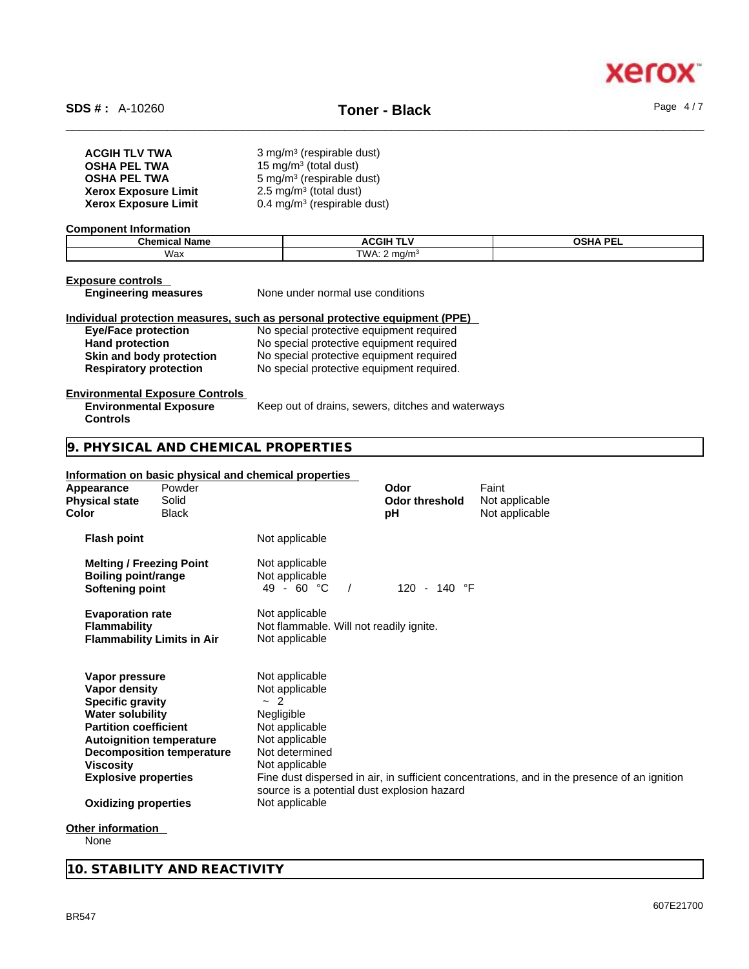

| <b>ACGIH TLV TWA</b>        | 3 mg/m <sup>3</sup> (respirable dust)  |
|-----------------------------|----------------------------------------|
| <b>OSHA PEL TWA</b>         | 15 mg/m <sup>3</sup> (total dust)      |
| <b>OSHA PEL TWA</b>         | $5 \text{ mg/m}^3$ (respirable dust)   |
| <b>Xerox Exposure Limit</b> | $2.5 \text{ mg/m}^3$ (total dust)      |
| <b>Xerox Exposure Limit</b> | $0.4 \text{ mg/m}^3$ (respirable dust) |

### **Component Information**

| Chemical | ACGIH <sup>-</sup> | <b>OSHA PFI</b> |
|----------|--------------------|-----------------|
| Name     | --                 | --              |
| Wax      | TWA.<br>ma/m       |                 |

### **Exposure controls**

**Engineering measures** None under normal use conditions

### **Individual protection measures, such as personal protective equipment (PPE)**

| <b>Eye/Face protection</b>    |  |
|-------------------------------|--|
| <b>Hand protection</b>        |  |
| Skin and body protection      |  |
| <b>Respiratory protection</b> |  |

**Eye/Face protection** No special protective equipment required **Hand protection** No special protective equipment required **Skin and body protection** No special protective equipment required **Respiratory protection** No special protective equipment required.

### **Environmental Exposure Controls**

| <b>Environmental Exposure</b> | Keep out of drains, sewers, ditches and waterways |
|-------------------------------|---------------------------------------------------|
| <b>Controls</b>               |                                                   |

## **9. PHYSICAL AND CHEMICAL PROPERTIES**

### **Information on basic physical and chemical properties**

| Appearance<br><b>Physical state</b><br>Color                                                                                                                                                            | Powder<br>Solid<br><b>Black</b>                                     |                                                                                                                                                                                                                       | Odor<br><b>Odor threshold</b><br>рH | Faint<br>Not applicable<br>Not applicable                                                    |
|---------------------------------------------------------------------------------------------------------------------------------------------------------------------------------------------------------|---------------------------------------------------------------------|-----------------------------------------------------------------------------------------------------------------------------------------------------------------------------------------------------------------------|-------------------------------------|----------------------------------------------------------------------------------------------|
| <b>Flash point</b>                                                                                                                                                                                      |                                                                     | Not applicable                                                                                                                                                                                                        |                                     |                                                                                              |
| <b>Melting / Freezing Point</b><br><b>Boiling point/range</b><br>Softening point                                                                                                                        |                                                                     | Not applicable<br>Not applicable<br>49 - 60 °C                                                                                                                                                                        | 120 - 140 °F                        |                                                                                              |
| <b>Evaporation rate</b><br><b>Flammability</b>                                                                                                                                                          | <b>Flammability Limits in Air</b>                                   | Not applicable<br>Not flammable. Will not readily ignite.<br>Not applicable                                                                                                                                           |                                     |                                                                                              |
| Vapor pressure<br>Vapor density<br><b>Specific gravity</b><br><b>Water solubility</b><br><b>Partition coefficient</b><br><b>Viscosity</b><br><b>Explosive properties</b><br><b>Oxidizing properties</b> | <b>Autoignition temperature</b><br><b>Decomposition temperature</b> | Not applicable<br>Not applicable<br>2<br>$\tilde{\phantom{a}}$<br>Negligible<br>Not applicable<br>Not applicable<br>Not determined<br>Not applicable<br>source is a potential dust explosion hazard<br>Not applicable |                                     | Fine dust dispersed in air, in sufficient concentrations, and in the presence of an ignition |
| Other information                                                                                                                                                                                       |                                                                     |                                                                                                                                                                                                                       |                                     |                                                                                              |
|                                                                                                                                                                                                         |                                                                     |                                                                                                                                                                                                                       |                                     |                                                                                              |

None

**10. STABILITY AND REACTIVITY**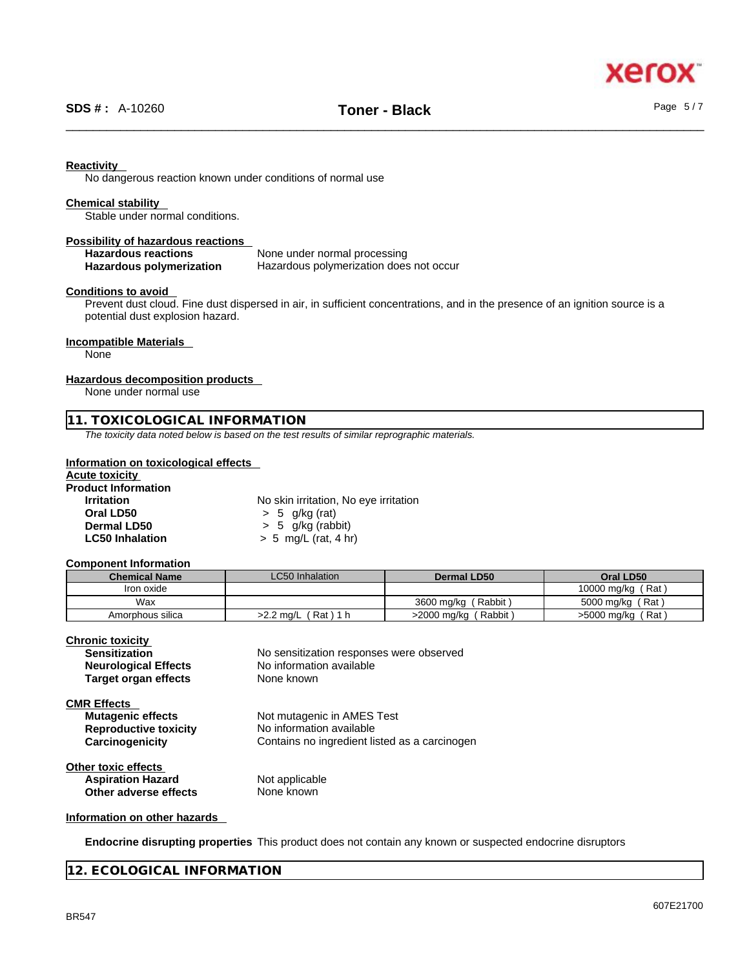xer

### **Reactivity**

No dangerous reaction known under conditions of normal use

### **Chemical stability**

Stable under normal conditions.

# **Possibility of hazardous reactions**

**Hazardous reactions**<br> **Hazardous polymerization**<br>
Hazardous polymerization<br>
Hazardous polymerization **Hazardous polymerization does not occur** 

### **Conditions to avoid**

Prevent dust cloud. Fine dust dispersed in air, in sufficient concentrations, and in the presence of an ignition source is a potential dust explosion hazard.

### **Incompatible Materials**

None

### **Hazardous decomposition products**

None under normal use

### **11. TOXICOLOGICAL INFORMATION**

*The toxicity data noted below is based on the test results of similar reprographic materials.* 

### **Information on toxicological effects**

## **Acute toxicity**

### **Product Information**

**Irritation** No skin irritation, No eye irritation **Oral LD50** > 5 g/kg (rat) **Dermal LD50**  $\rightarrow$  5 g/kg (rabbit)<br>**LC50 Inhalation**  $\rightarrow$  5 mg/L (rat, 4 hr **LC50 Inhalation** > 5 mg/L (rat, 4 hr)

### **Component Information**

| <b>Chemical Name</b> | <b>LC50</b> Inhalation  | <b>Dermal LD50</b>     | Oral LD50              |
|----------------------|-------------------------|------------------------|------------------------|
| Iron oxide           |                         |                        | (Rat<br>10000 mg/kg    |
| Wax                  |                         | 3600 ma/ka (<br>Rabbit | 5000 mg/kg (Rat)       |
| Amorphous silica     | 「Rat)1 h<br>$>2.2$ ma/L | Rabbit<br>>2000 mg/kg  | ، Rat ا<br>>5000 mg/kg |

**Chronic toxicity**

| <b>Sensitization</b>         | No sensitization responses were observed      |
|------------------------------|-----------------------------------------------|
| <b>Neurological Effects</b>  | No information available                      |
| <b>Target organ effects</b>  | None known                                    |
| <b>CMR Effects</b>           |                                               |
| <b>Mutagenic effects</b>     | Not mutagenic in AMES Test                    |
| <b>Reproductive toxicity</b> | No information available                      |
| Carcinogenicity              | Contains no ingredient listed as a carcinogen |
| <b>Other toxic effects</b>   |                                               |
| <b>Aspiration Hazard</b>     | Not applicable                                |
| Other adverse effects        | None known                                    |

### **Information on other hazards**

**Endocrine disrupting properties** This product does not contain any known or suspected endocrine disruptors

### **12. ECOLOGICAL INFORMATION**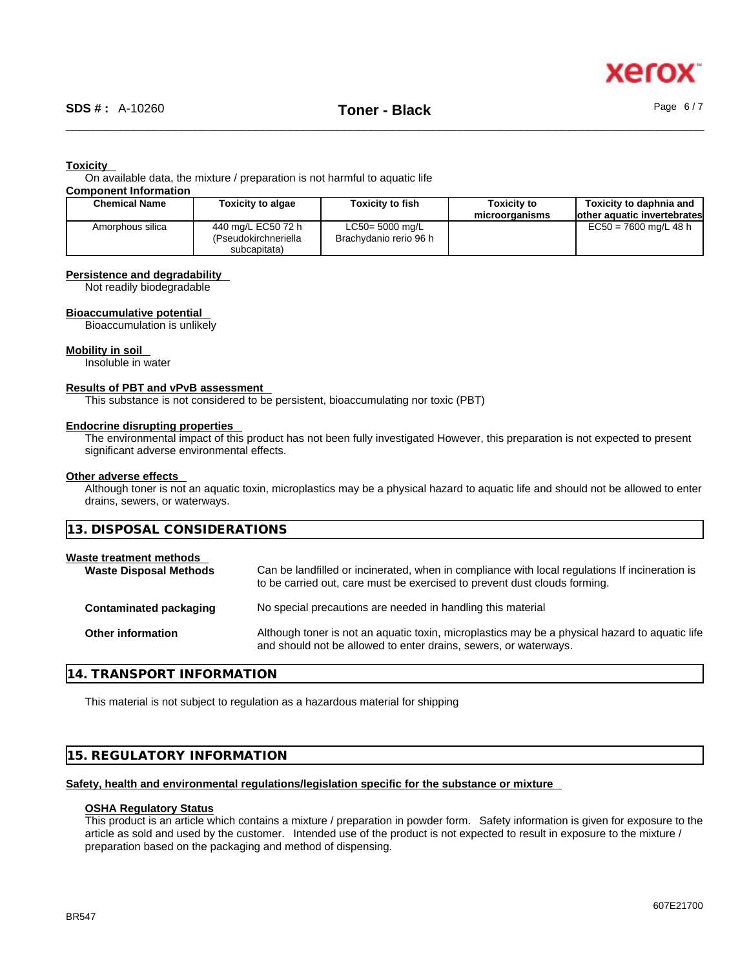

### **Toxicity**

On available data, the mixture / preparation is not harmful to aquatic life **Component Information**

| <b>Chemical Name</b> | Toxicity to algae    | <b>Toxicity to fish</b> | <b>Toxicity to</b> | Toxicity to daphnia and      |
|----------------------|----------------------|-------------------------|--------------------|------------------------------|
|                      |                      |                         | microorganisms     | lother aquatic invertebrates |
| Amorphous silica     | 440 mg/L EC50 72 h   | $LC50 = 5000$ mg/L      |                    | $EC50 = 7600$ mg/L 48 h      |
|                      | (Pseudokirchneriella | Brachydanio rerio 96 h  |                    |                              |
|                      | subcapitata)         |                         |                    |                              |

### **Persistence and degradability**

Not readily biodegradable

### **Bioaccumulative potential**

Bioaccumulation is unlikely

### **Mobility in soil**

Insoluble in water

### **Results of PBT and vPvB assessment**

This substance is not considered to be persistent, bioaccumulating nor toxic (PBT)

### **Endocrine disrupting properties**

The environmental impact of this product has not been fully investigated However, this preparation is not expected to present significant adverse environmental effects.

### **Other adverse effects**

Although toner is not an aquatic toxin, microplastics may be a physical hazard to aquatic life and should not be allowed to enter drains, sewers, or waterways.

| 13. DISPOSAL CONSIDERATIONS                              |                                                                                                                                                                             |  |  |  |
|----------------------------------------------------------|-----------------------------------------------------------------------------------------------------------------------------------------------------------------------------|--|--|--|
| Waste treatment methods<br><b>Waste Disposal Methods</b> | Can be landfilled or incinerated, when in compliance with local regulations If incineration is<br>to be carried out, care must be exercised to prevent dust clouds forming. |  |  |  |
| Contaminated packaging                                   | No special precautions are needed in handling this material                                                                                                                 |  |  |  |
| Other information                                        | Although toner is not an aquatic toxin, microplastics may be a physical hazard to aquatic life<br>and should not be allowed to enter drains, sewers, or waterways.          |  |  |  |

### **14. TRANSPORT INFORMATION**

This material is not subject to regulation as a hazardous material for shipping

### **15. REGULATORY INFORMATION**

### **Safety, health and environmental regulations/legislation specific for the substance or mixture**

### **OSHA Regulatory Status**

This product is an article which contains a mixture / preparation in powder form. Safety information is given for exposure to the article as sold and used by the customer. Intended use of the product is not expected to result in exposure to the mixture / preparation based on the packaging and method of dispensing.